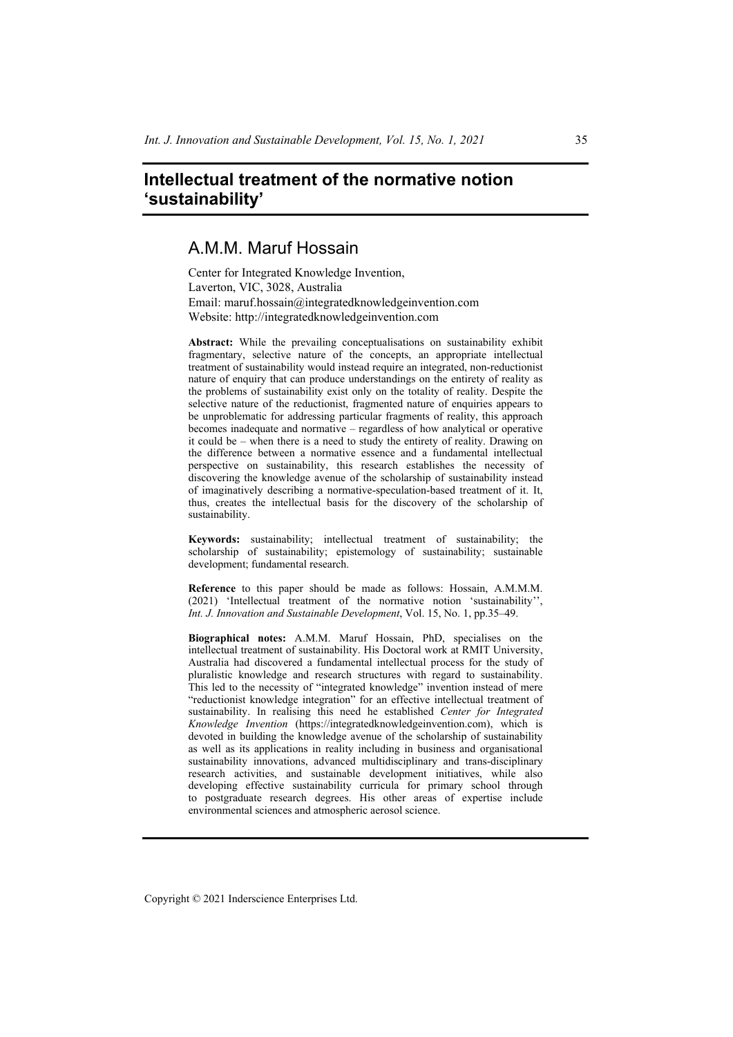# **Intellectual treatment of the normative notion 'sustainability'**

# A.M.M. Maruf Hossain

Center for Integrated Knowledge Invention, Laverton, VIC, 3028, Australia Email: maruf.hossain@integratedknowledgeinvention.com Website: http://integratedknowledgeinvention.com

**Abstract:** While the prevailing conceptualisations on sustainability exhibit fragmentary, selective nature of the concepts, an appropriate intellectual treatment of sustainability would instead require an integrated, non-reductionist nature of enquiry that can produce understandings on the entirety of reality as the problems of sustainability exist only on the totality of reality. Despite the selective nature of the reductionist, fragmented nature of enquiries appears to be unproblematic for addressing particular fragments of reality, this approach becomes inadequate and normative – regardless of how analytical or operative it could be – when there is a need to study the entirety of reality. Drawing on the difference between a normative essence and a fundamental intellectual perspective on sustainability, this research establishes the necessity of discovering the knowledge avenue of the scholarship of sustainability instead of imaginatively describing a normative-speculation-based treatment of it. It, thus, creates the intellectual basis for the discovery of the scholarship of sustainability.

**Keywords:** sustainability; intellectual treatment of sustainability; the scholarship of sustainability; epistemology of sustainability; sustainable development; fundamental research.

**Reference** to this paper should be made as follows: Hossain, A.M.M.M. (2021) 'Intellectual treatment of the normative notion 'sustainability'', *Int. J. Innovation and Sustainable Development*, Vol. 15, No. 1, pp.35–49.

**Biographical notes:** A.M.M. Maruf Hossain, PhD, specialises on the intellectual treatment of sustainability. His Doctoral work at RMIT University, Australia had discovered a fundamental intellectual process for the study of pluralistic knowledge and research structures with regard to sustainability. This led to the necessity of "integrated knowledge" invention instead of mere "reductionist knowledge integration" for an effective intellectual treatment of sustainability. In realising this need he established *Center for Integrated Knowledge Invention* (https://integratedknowledgeinvention.com), which is devoted in building the knowledge avenue of the scholarship of sustainability as well as its applications in reality including in business and organisational sustainability innovations, advanced multidisciplinary and trans-disciplinary research activities, and sustainable development initiatives, while also developing effective sustainability curricula for primary school through to postgraduate research degrees. His other areas of expertise include environmental sciences and atmospheric aerosol science.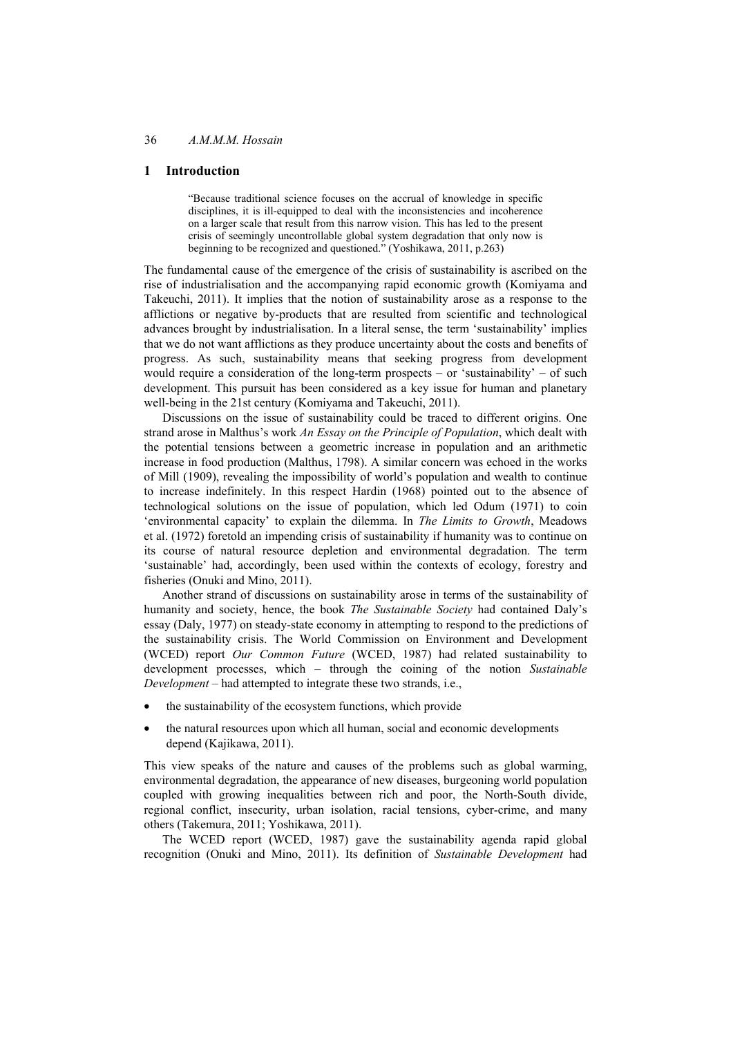## **1 Introduction**

"Because traditional science focuses on the accrual of knowledge in specific disciplines, it is ill-equipped to deal with the inconsistencies and incoherence on a larger scale that result from this narrow vision. This has led to the present crisis of seemingly uncontrollable global system degradation that only now is beginning to be recognized and questioned." (Yoshikawa, 2011, p.263)

The fundamental cause of the emergence of the crisis of sustainability is ascribed on the rise of industrialisation and the accompanying rapid economic growth (Komiyama and Takeuchi, 2011). It implies that the notion of sustainability arose as a response to the afflictions or negative by-products that are resulted from scientific and technological advances brought by industrialisation. In a literal sense, the term 'sustainability' implies that we do not want afflictions as they produce uncertainty about the costs and benefits of progress. As such, sustainability means that seeking progress from development would require a consideration of the long-term prospects – or 'sustainability' – of such development. This pursuit has been considered as a key issue for human and planetary well-being in the 21st century (Komiyama and Takeuchi, 2011).

Discussions on the issue of sustainability could be traced to different origins. One strand arose in Malthus's work *An Essay on the Principle of Population*, which dealt with the potential tensions between a geometric increase in population and an arithmetic increase in food production (Malthus, 1798). A similar concern was echoed in the works of Mill (1909), revealing the impossibility of world's population and wealth to continue to increase indefinitely. In this respect Hardin (1968) pointed out to the absence of technological solutions on the issue of population, which led Odum (1971) to coin 'environmental capacity' to explain the dilemma. In *The Limits to Growth*, Meadows et al. (1972) foretold an impending crisis of sustainability if humanity was to continue on its course of natural resource depletion and environmental degradation. The term 'sustainable' had, accordingly, been used within the contexts of ecology, forestry and fisheries (Onuki and Mino, 2011).

Another strand of discussions on sustainability arose in terms of the sustainability of humanity and society, hence, the book *The Sustainable Society* had contained Daly's essay (Daly, 1977) on steady-state economy in attempting to respond to the predictions of the sustainability crisis. The World Commission on Environment and Development (WCED) report *Our Common Future* (WCED, 1987) had related sustainability to development processes, which – through the coining of the notion *Sustainable Development* – had attempted to integrate these two strands, i.e.,

- the sustainability of the ecosystem functions, which provide
- the natural resources upon which all human, social and economic developments depend (Kajikawa, 2011).

This view speaks of the nature and causes of the problems such as global warming, environmental degradation, the appearance of new diseases, burgeoning world population coupled with growing inequalities between rich and poor, the North-South divide, regional conflict, insecurity, urban isolation, racial tensions, cyber-crime, and many others (Takemura, 2011; Yoshikawa, 2011).

The WCED report (WCED, 1987) gave the sustainability agenda rapid global recognition (Onuki and Mino, 2011). Its definition of *Sustainable Development* had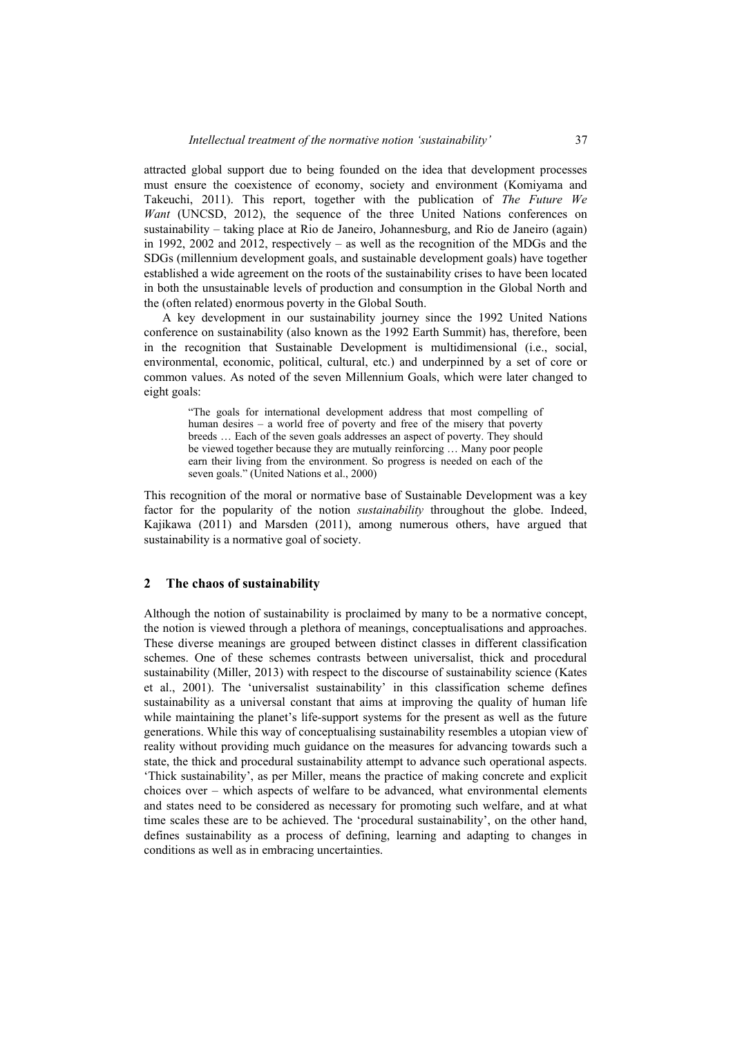attracted global support due to being founded on the idea that development processes must ensure the coexistence of economy, society and environment (Komiyama and Takeuchi, 2011). This report, together with the publication of *The Future We Want* (UNCSD, 2012), the sequence of the three United Nations conferences on sustainability – taking place at Rio de Janeiro, Johannesburg, and Rio de Janeiro (again) in 1992, 2002 and 2012, respectively – as well as the recognition of the MDGs and the SDGs (millennium development goals, and sustainable development goals) have together established a wide agreement on the roots of the sustainability crises to have been located in both the unsustainable levels of production and consumption in the Global North and the (often related) enormous poverty in the Global South.

A key development in our sustainability journey since the 1992 United Nations conference on sustainability (also known as the 1992 Earth Summit) has, therefore, been in the recognition that Sustainable Development is multidimensional (i.e., social, environmental, economic, political, cultural, etc.) and underpinned by a set of core or common values. As noted of the seven Millennium Goals, which were later changed to eight goals:

> "The goals for international development address that most compelling of human desires – a world free of poverty and free of the misery that poverty breeds … Each of the seven goals addresses an aspect of poverty. They should be viewed together because they are mutually reinforcing … Many poor people earn their living from the environment. So progress is needed on each of the seven goals." (United Nations et al., 2000)

This recognition of the moral or normative base of Sustainable Development was a key factor for the popularity of the notion *sustainability* throughout the globe. Indeed, Kajikawa (2011) and Marsden (2011), among numerous others, have argued that sustainability is a normative goal of society.

### **2 The chaos of sustainability**

Although the notion of sustainability is proclaimed by many to be a normative concept, the notion is viewed through a plethora of meanings, conceptualisations and approaches. These diverse meanings are grouped between distinct classes in different classification schemes. One of these schemes contrasts between universalist, thick and procedural sustainability (Miller, 2013) with respect to the discourse of sustainability science (Kates et al., 2001). The 'universalist sustainability' in this classification scheme defines sustainability as a universal constant that aims at improving the quality of human life while maintaining the planet's life-support systems for the present as well as the future generations. While this way of conceptualising sustainability resembles a utopian view of reality without providing much guidance on the measures for advancing towards such a state, the thick and procedural sustainability attempt to advance such operational aspects. 'Thick sustainability', as per Miller, means the practice of making concrete and explicit choices over – which aspects of welfare to be advanced, what environmental elements and states need to be considered as necessary for promoting such welfare, and at what time scales these are to be achieved. The 'procedural sustainability', on the other hand, defines sustainability as a process of defining, learning and adapting to changes in conditions as well as in embracing uncertainties.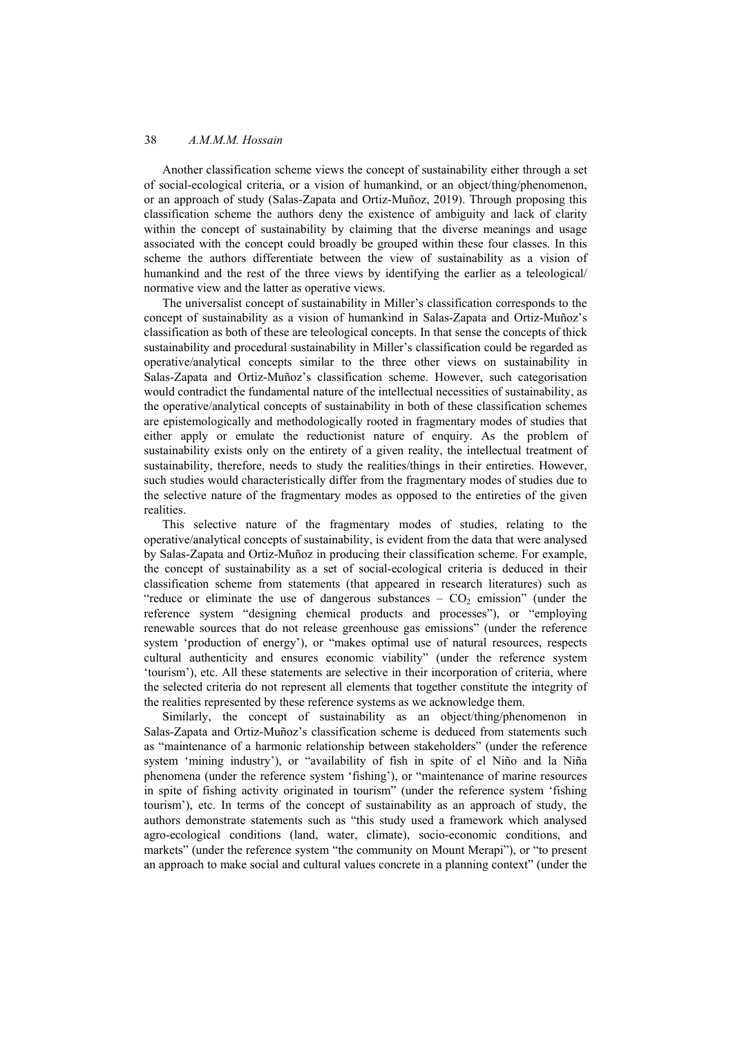Another classification scheme views the concept of sustainability either through a set of social-ecological criteria, or a vision of humankind, or an object/thing/phenomenon, or an approach of study (Salas-Zapata and Ortiz-Muñoz, 2019). Through proposing this classification scheme the authors deny the existence of ambiguity and lack of clarity within the concept of sustainability by claiming that the diverse meanings and usage associated with the concept could broadly be grouped within these four classes. In this scheme the authors differentiate between the view of sustainability as a vision of humankind and the rest of the three views by identifying the earlier as a teleological/ normative view and the latter as operative views.

The universalist concept of sustainability in Miller's classification corresponds to the concept of sustainability as a vision of humankind in Salas-Zapata and Ortiz-Muñoz's classification as both of these are teleological concepts. In that sense the concepts of thick sustainability and procedural sustainability in Miller's classification could be regarded as operative/analytical concepts similar to the three other views on sustainability in Salas-Zapata and Ortiz-Muñoz's classification scheme. However, such categorisation would contradict the fundamental nature of the intellectual necessities of sustainability, as the operative/analytical concepts of sustainability in both of these classification schemes are epistemologically and methodologically rooted in fragmentary modes of studies that either apply or emulate the reductionist nature of enquiry. As the problem of sustainability exists only on the entirety of a given reality, the intellectual treatment of sustainability, therefore, needs to study the realities/things in their entireties. However, such studies would characteristically differ from the fragmentary modes of studies due to the selective nature of the fragmentary modes as opposed to the entireties of the given realities.

This selective nature of the fragmentary modes of studies, relating to the operative/analytical concepts of sustainability, is evident from the data that were analysed by Salas-Zapata and Ortiz-Muñoz in producing their classification scheme. For example, the concept of sustainability as a set of social-ecological criteria is deduced in their classification scheme from statements (that appeared in research literatures) such as "reduce or eliminate the use of dangerous substances  $-$  CO<sub>2</sub> emission" (under the reference system "designing chemical products and processes"), or "employing renewable sources that do not release greenhouse gas emissions" (under the reference system 'production of energy'), or "makes optimal use of natural resources, respects cultural authenticity and ensures economic viability" (under the reference system 'tourism'), etc. All these statements are selective in their incorporation of criteria, where the selected criteria do not represent all elements that together constitute the integrity of the realities represented by these reference systems as we acknowledge them.

Similarly, the concept of sustainability as an object/thing/phenomenon in Salas-Zapata and Ortiz-Muñoz's classification scheme is deduced from statements such as "maintenance of a harmonic relationship between stakeholders" (under the reference system 'mining industry'), or "availability of fish in spite of el Niño and la Niña phenomena (under the reference system 'fishing'), or "maintenance of marine resources in spite of fishing activity originated in tourism" (under the reference system 'fishing tourism'), etc. In terms of the concept of sustainability as an approach of study, the authors demonstrate statements such as "this study used a framework which analysed agro-ecological conditions (land, water, climate), socio-economic conditions, and markets" (under the reference system "the community on Mount Merapi"), or "to present an approach to make social and cultural values concrete in a planning context" (under the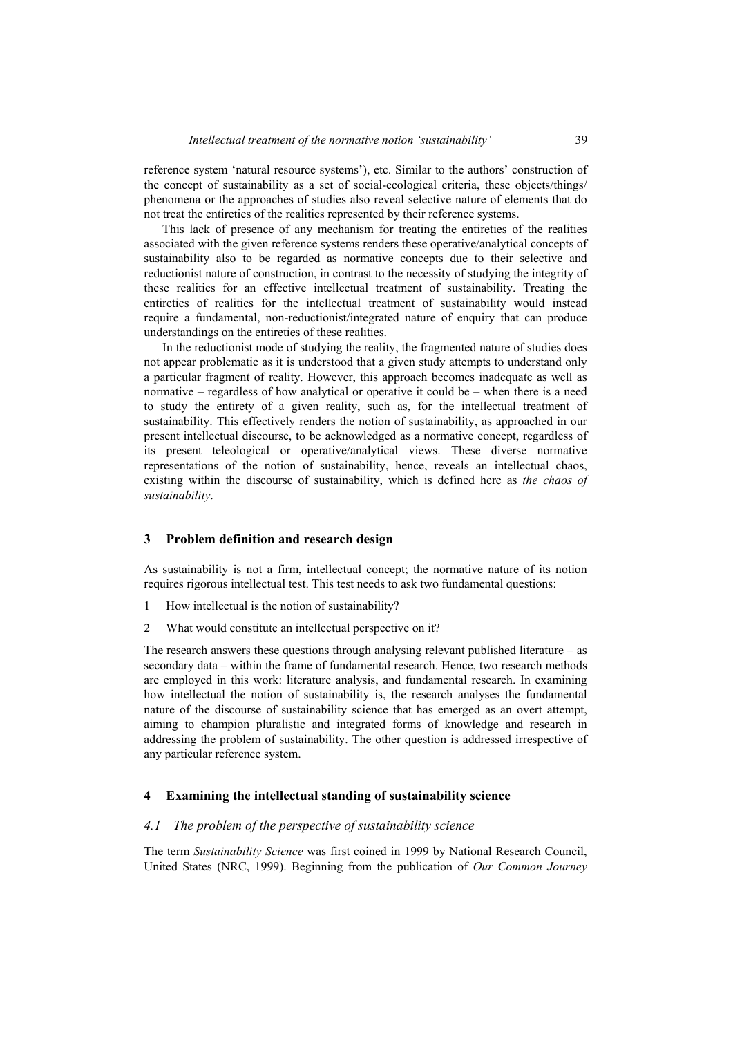reference system 'natural resource systems'), etc. Similar to the authors' construction of the concept of sustainability as a set of social-ecological criteria, these objects/things/ phenomena or the approaches of studies also reveal selective nature of elements that do not treat the entireties of the realities represented by their reference systems.

This lack of presence of any mechanism for treating the entireties of the realities associated with the given reference systems renders these operative/analytical concepts of sustainability also to be regarded as normative concepts due to their selective and reductionist nature of construction, in contrast to the necessity of studying the integrity of these realities for an effective intellectual treatment of sustainability. Treating the entireties of realities for the intellectual treatment of sustainability would instead require a fundamental, non-reductionist/integrated nature of enquiry that can produce understandings on the entireties of these realities.

In the reductionist mode of studying the reality, the fragmented nature of studies does not appear problematic as it is understood that a given study attempts to understand only a particular fragment of reality. However, this approach becomes inadequate as well as normative – regardless of how analytical or operative it could be – when there is a need to study the entirety of a given reality, such as, for the intellectual treatment of sustainability. This effectively renders the notion of sustainability, as approached in our present intellectual discourse, to be acknowledged as a normative concept, regardless of its present teleological or operative/analytical views. These diverse normative representations of the notion of sustainability, hence, reveals an intellectual chaos, existing within the discourse of sustainability, which is defined here as *the chaos of sustainability*.

#### **3 Problem definition and research design**

As sustainability is not a firm, intellectual concept; the normative nature of its notion requires rigorous intellectual test. This test needs to ask two fundamental questions:

- 1 How intellectual is the notion of sustainability?
- 2 What would constitute an intellectual perspective on it?

The research answers these questions through analysing relevant published literature  $-$  as secondary data – within the frame of fundamental research. Hence, two research methods are employed in this work: literature analysis, and fundamental research. In examining how intellectual the notion of sustainability is, the research analyses the fundamental nature of the discourse of sustainability science that has emerged as an overt attempt, aiming to champion pluralistic and integrated forms of knowledge and research in addressing the problem of sustainability. The other question is addressed irrespective of any particular reference system.

### **4 Examining the intellectual standing of sustainability science**

#### *4.1 The problem of the perspective of sustainability science*

The term *Sustainability Science* was first coined in 1999 by National Research Council, United States (NRC, 1999). Beginning from the publication of *Our Common Journey*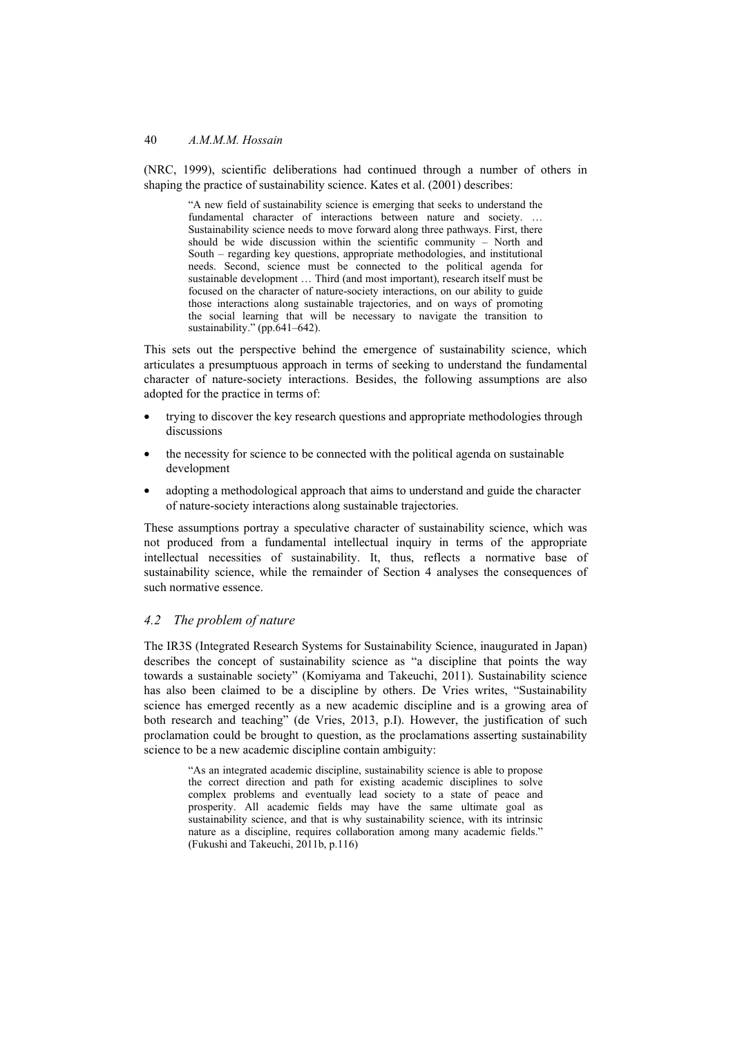(NRC, 1999), scientific deliberations had continued through a number of others in shaping the practice of sustainability science. Kates et al. (2001) describes:

> "A new field of sustainability science is emerging that seeks to understand the fundamental character of interactions between nature and society. … Sustainability science needs to move forward along three pathways. First, there should be wide discussion within the scientific community – North and South – regarding key questions, appropriate methodologies, and institutional needs. Second, science must be connected to the political agenda for sustainable development … Third (and most important), research itself must be focused on the character of nature-society interactions, on our ability to guide those interactions along sustainable trajectories, and on ways of promoting the social learning that will be necessary to navigate the transition to sustainability." (pp.641–642).

This sets out the perspective behind the emergence of sustainability science, which articulates a presumptuous approach in terms of seeking to understand the fundamental character of nature-society interactions. Besides, the following assumptions are also adopted for the practice in terms of:

- trying to discover the key research questions and appropriate methodologies through discussions
- the necessity for science to be connected with the political agenda on sustainable development
- adopting a methodological approach that aims to understand and guide the character of nature-society interactions along sustainable trajectories.

These assumptions portray a speculative character of sustainability science, which was not produced from a fundamental intellectual inquiry in terms of the appropriate intellectual necessities of sustainability. It, thus, reflects a normative base of sustainability science, while the remainder of Section 4 analyses the consequences of such normative essence.

# *4.2 The problem of nature*

The IR3S (Integrated Research Systems for Sustainability Science, inaugurated in Japan) describes the concept of sustainability science as "a discipline that points the way towards a sustainable society" (Komiyama and Takeuchi, 2011). Sustainability science has also been claimed to be a discipline by others. De Vries writes, "Sustainability science has emerged recently as a new academic discipline and is a growing area of both research and teaching" (de Vries, 2013, p.I). However, the justification of such proclamation could be brought to question, as the proclamations asserting sustainability science to be a new academic discipline contain ambiguity:

"As an integrated academic discipline, sustainability science is able to propose the correct direction and path for existing academic disciplines to solve complex problems and eventually lead society to a state of peace and prosperity. All academic fields may have the same ultimate goal as sustainability science, and that is why sustainability science, with its intrinsic nature as a discipline, requires collaboration among many academic fields." (Fukushi and Takeuchi, 2011b, p.116)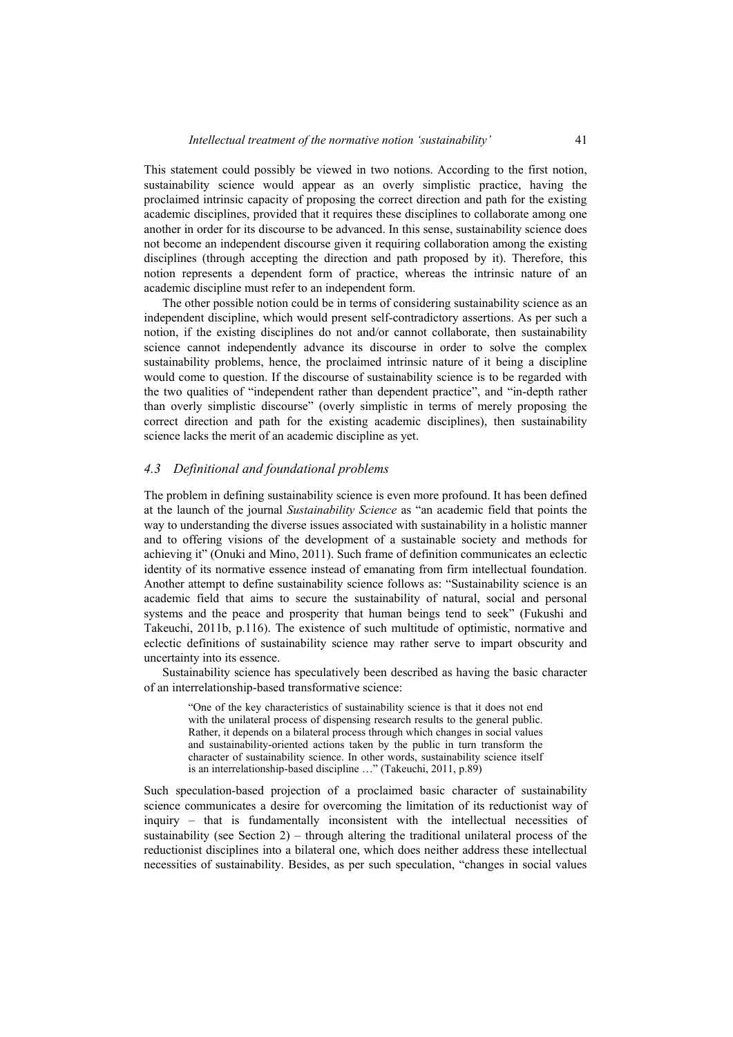This statement could possibly be viewed in two notions. According to the first notion, sustainability science would appear as an overly simplistic practice, having the proclaimed intrinsic capacity of proposing the correct direction and path for the existing academic disciplines, provided that it requires these disciplines to collaborate among one another in order for its discourse to be advanced. In this sense, sustainability science does not become an independent discourse given it requiring collaboration among the existing disciplines (through accepting the direction and path proposed by it). Therefore, this notion represents a dependent form of practice, whereas the intrinsic nature of an academic discipline must refer to an independent form.

The other possible notion could be in terms of considering sustainability science as an independent discipline, which would present self-contradictory assertions. As per such a notion, if the existing disciplines do not and/or cannot collaborate, then sustainability science cannot independently advance its discourse in order to solve the complex sustainability problems, hence, the proclaimed intrinsic nature of it being a discipline would come to question. If the discourse of sustainability science is to be regarded with the two qualities of "independent rather than dependent practice", and "in-depth rather than overly simplistic discourse" (overly simplistic in terms of merely proposing the correct direction and path for the existing academic disciplines), then sustainability science lacks the merit of an academic discipline as yet.

#### *4.3 Definitional and foundational problems*

The problem in defining sustainability science is even more profound. It has been defined at the launch of the journal *Sustainability Science* as "an academic field that points the way to understanding the diverse issues associated with sustainability in a holistic manner and to offering visions of the development of a sustainable society and methods for achieving it" (Onuki and Mino, 2011). Such frame of definition communicates an eclectic identity of its normative essence instead of emanating from firm intellectual foundation. Another attempt to define sustainability science follows as: "Sustainability science is an academic field that aims to secure the sustainability of natural, social and personal systems and the peace and prosperity that human beings tend to seek" (Fukushi and Takeuchi, 2011b, p.116). The existence of such multitude of optimistic, normative and eclectic definitions of sustainability science may rather serve to impart obscurity and uncertainty into its essence.

Sustainability science has speculatively been described as having the basic character of an interrelationship-based transformative science:

> "One of the key characteristics of sustainability science is that it does not end with the unilateral process of dispensing research results to the general public. Rather, it depends on a bilateral process through which changes in social values and sustainability-oriented actions taken by the public in turn transform the character of sustainability science. In other words, sustainability science itself is an interrelationship-based discipline …" (Takeuchi, 2011, p.89)

Such speculation-based projection of a proclaimed basic character of sustainability science communicates a desire for overcoming the limitation of its reductionist way of inquiry – that is fundamentally inconsistent with the intellectual necessities of sustainability (see Section 2) – through altering the traditional unilateral process of the reductionist disciplines into a bilateral one, which does neither address these intellectual necessities of sustainability. Besides, as per such speculation, "changes in social values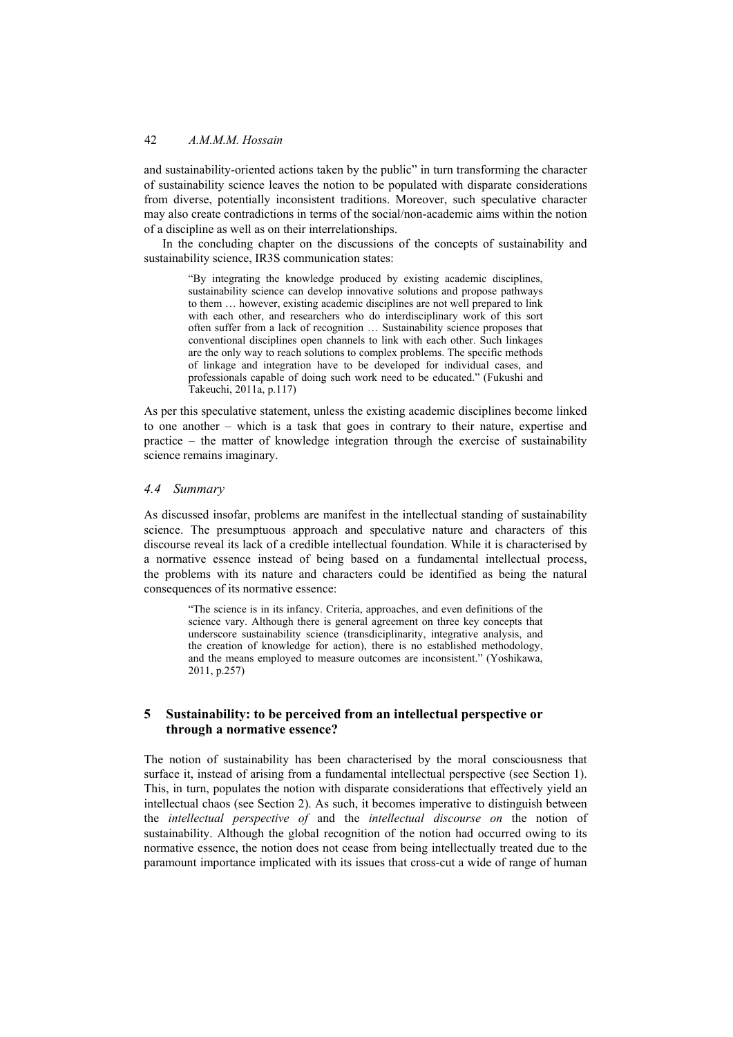and sustainability-oriented actions taken by the public" in turn transforming the character of sustainability science leaves the notion to be populated with disparate considerations from diverse, potentially inconsistent traditions. Moreover, such speculative character may also create contradictions in terms of the social/non-academic aims within the notion of a discipline as well as on their interrelationships.

In the concluding chapter on the discussions of the concepts of sustainability and sustainability science, IR3S communication states:

"By integrating the knowledge produced by existing academic disciplines, sustainability science can develop innovative solutions and propose pathways to them … however, existing academic disciplines are not well prepared to link with each other, and researchers who do interdisciplinary work of this sort often suffer from a lack of recognition … Sustainability science proposes that conventional disciplines open channels to link with each other. Such linkages are the only way to reach solutions to complex problems. The specific methods of linkage and integration have to be developed for individual cases, and professionals capable of doing such work need to be educated." (Fukushi and Takeuchi, 2011a, p.117)

As per this speculative statement, unless the existing academic disciplines become linked to one another – which is a task that goes in contrary to their nature, expertise and practice – the matter of knowledge integration through the exercise of sustainability science remains imaginary.

# *4.4 Summary*

As discussed insofar, problems are manifest in the intellectual standing of sustainability science. The presumptuous approach and speculative nature and characters of this discourse reveal its lack of a credible intellectual foundation. While it is characterised by a normative essence instead of being based on a fundamental intellectual process, the problems with its nature and characters could be identified as being the natural consequences of its normative essence:

"The science is in its infancy. Criteria, approaches, and even definitions of the science vary. Although there is general agreement on three key concepts that underscore sustainability science (transdiciplinarity, integrative analysis, and the creation of knowledge for action), there is no established methodology, and the means employed to measure outcomes are inconsistent." (Yoshikawa, 2011, p.257)

# **5 Sustainability: to be perceived from an intellectual perspective or through a normative essence?**

The notion of sustainability has been characterised by the moral consciousness that surface it, instead of arising from a fundamental intellectual perspective (see Section 1). This, in turn, populates the notion with disparate considerations that effectively yield an intellectual chaos (see Section 2). As such, it becomes imperative to distinguish between the *intellectual perspective of* and the *intellectual discourse on* the notion of sustainability. Although the global recognition of the notion had occurred owing to its normative essence, the notion does not cease from being intellectually treated due to the paramount importance implicated with its issues that cross-cut a wide of range of human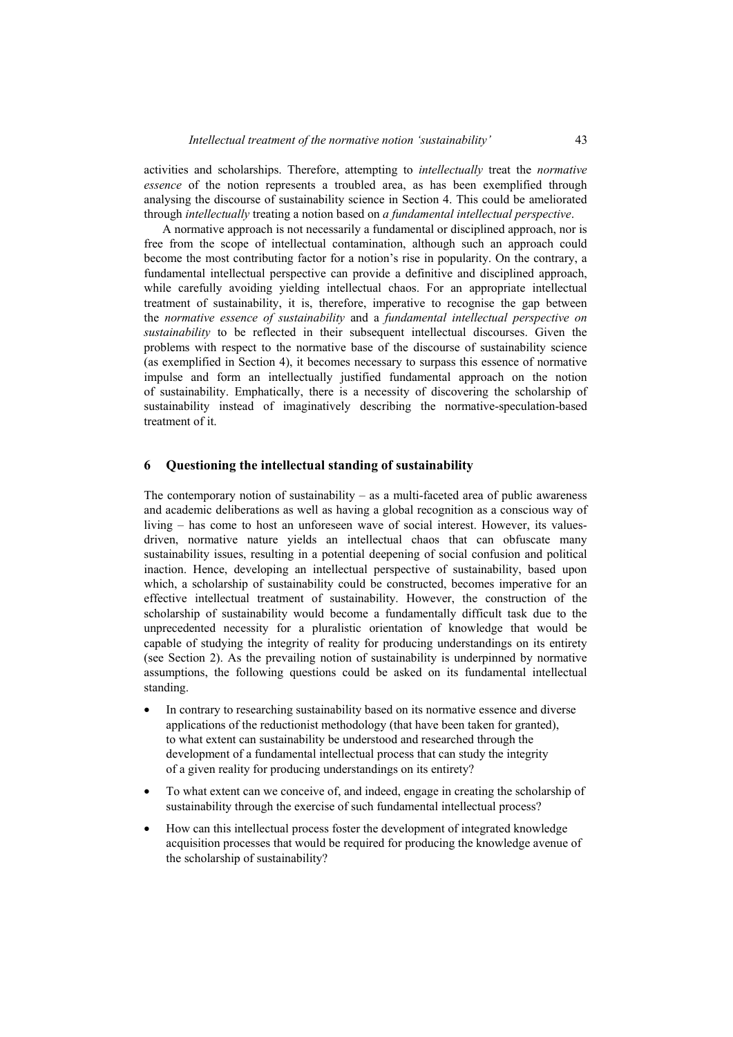activities and scholarships. Therefore, attempting to *intellectually* treat the *normative essence* of the notion represents a troubled area, as has been exemplified through analysing the discourse of sustainability science in Section 4. This could be ameliorated through *intellectually* treating a notion based on *a fundamental intellectual perspective*.

A normative approach is not necessarily a fundamental or disciplined approach, nor is free from the scope of intellectual contamination, although such an approach could become the most contributing factor for a notion's rise in popularity. On the contrary, a fundamental intellectual perspective can provide a definitive and disciplined approach, while carefully avoiding yielding intellectual chaos. For an appropriate intellectual treatment of sustainability, it is, therefore, imperative to recognise the gap between the *normative essence of sustainability* and a *fundamental intellectual perspective on sustainability* to be reflected in their subsequent intellectual discourses. Given the problems with respect to the normative base of the discourse of sustainability science (as exemplified in Section 4), it becomes necessary to surpass this essence of normative impulse and form an intellectually justified fundamental approach on the notion of sustainability. Emphatically, there is a necessity of discovering the scholarship of sustainability instead of imaginatively describing the normative-speculation-based treatment of it.

## **6 Questioning the intellectual standing of sustainability**

The contemporary notion of sustainability  $-$  as a multi-faceted area of public awareness and academic deliberations as well as having a global recognition as a conscious way of living – has come to host an unforeseen wave of social interest. However, its valuesdriven, normative nature yields an intellectual chaos that can obfuscate many sustainability issues, resulting in a potential deepening of social confusion and political inaction. Hence, developing an intellectual perspective of sustainability, based upon which, a scholarship of sustainability could be constructed, becomes imperative for an effective intellectual treatment of sustainability. However, the construction of the scholarship of sustainability would become a fundamentally difficult task due to the unprecedented necessity for a pluralistic orientation of knowledge that would be capable of studying the integrity of reality for producing understandings on its entirety (see Section 2). As the prevailing notion of sustainability is underpinned by normative assumptions, the following questions could be asked on its fundamental intellectual standing.

- In contrary to researching sustainability based on its normative essence and diverse applications of the reductionist methodology (that have been taken for granted), to what extent can sustainability be understood and researched through the development of a fundamental intellectual process that can study the integrity of a given reality for producing understandings on its entirety?
- To what extent can we conceive of, and indeed, engage in creating the scholarship of sustainability through the exercise of such fundamental intellectual process?
- How can this intellectual process foster the development of integrated knowledge acquisition processes that would be required for producing the knowledge avenue of the scholarship of sustainability?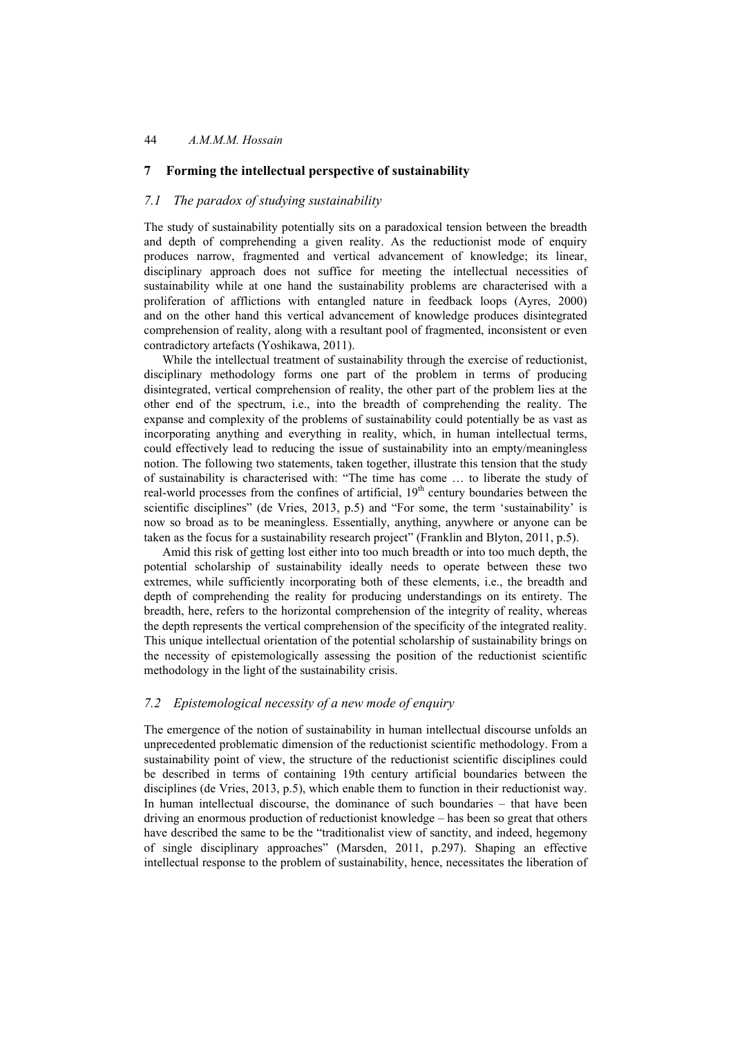# **7 Forming the intellectual perspective of sustainability**

## *7.1 The paradox of studying sustainability*

The study of sustainability potentially sits on a paradoxical tension between the breadth and depth of comprehending a given reality. As the reductionist mode of enquiry produces narrow, fragmented and vertical advancement of knowledge; its linear, disciplinary approach does not suffice for meeting the intellectual necessities of sustainability while at one hand the sustainability problems are characterised with a proliferation of afflictions with entangled nature in feedback loops (Ayres, 2000) and on the other hand this vertical advancement of knowledge produces disintegrated comprehension of reality, along with a resultant pool of fragmented, inconsistent or even contradictory artefacts (Yoshikawa, 2011).

While the intellectual treatment of sustainability through the exercise of reductionist, disciplinary methodology forms one part of the problem in terms of producing disintegrated, vertical comprehension of reality, the other part of the problem lies at the other end of the spectrum, i.e., into the breadth of comprehending the reality. The expanse and complexity of the problems of sustainability could potentially be as vast as incorporating anything and everything in reality, which, in human intellectual terms, could effectively lead to reducing the issue of sustainability into an empty/meaningless notion. The following two statements, taken together, illustrate this tension that the study of sustainability is characterised with: "The time has come … to liberate the study of real-world processes from the confines of artificial,  $19<sup>th</sup>$  century boundaries between the scientific disciplines" (de Vries, 2013, p.5) and "For some, the term 'sustainability' is now so broad as to be meaningless. Essentially, anything, anywhere or anyone can be taken as the focus for a sustainability research project" (Franklin and Blyton, 2011, p.5).

Amid this risk of getting lost either into too much breadth or into too much depth, the potential scholarship of sustainability ideally needs to operate between these two extremes, while sufficiently incorporating both of these elements, i.e., the breadth and depth of comprehending the reality for producing understandings on its entirety. The breadth, here, refers to the horizontal comprehension of the integrity of reality, whereas the depth represents the vertical comprehension of the specificity of the integrated reality. This unique intellectual orientation of the potential scholarship of sustainability brings on the necessity of epistemologically assessing the position of the reductionist scientific methodology in the light of the sustainability crisis.

## *7.2 Epistemological necessity of a new mode of enquiry*

The emergence of the notion of sustainability in human intellectual discourse unfolds an unprecedented problematic dimension of the reductionist scientific methodology. From a sustainability point of view, the structure of the reductionist scientific disciplines could be described in terms of containing 19th century artificial boundaries between the disciplines (de Vries, 2013, p.5), which enable them to function in their reductionist way. In human intellectual discourse, the dominance of such boundaries – that have been driving an enormous production of reductionist knowledge – has been so great that others have described the same to be the "traditionalist view of sanctity, and indeed, hegemony of single disciplinary approaches" (Marsden, 2011, p.297). Shaping an effective intellectual response to the problem of sustainability, hence, necessitates the liberation of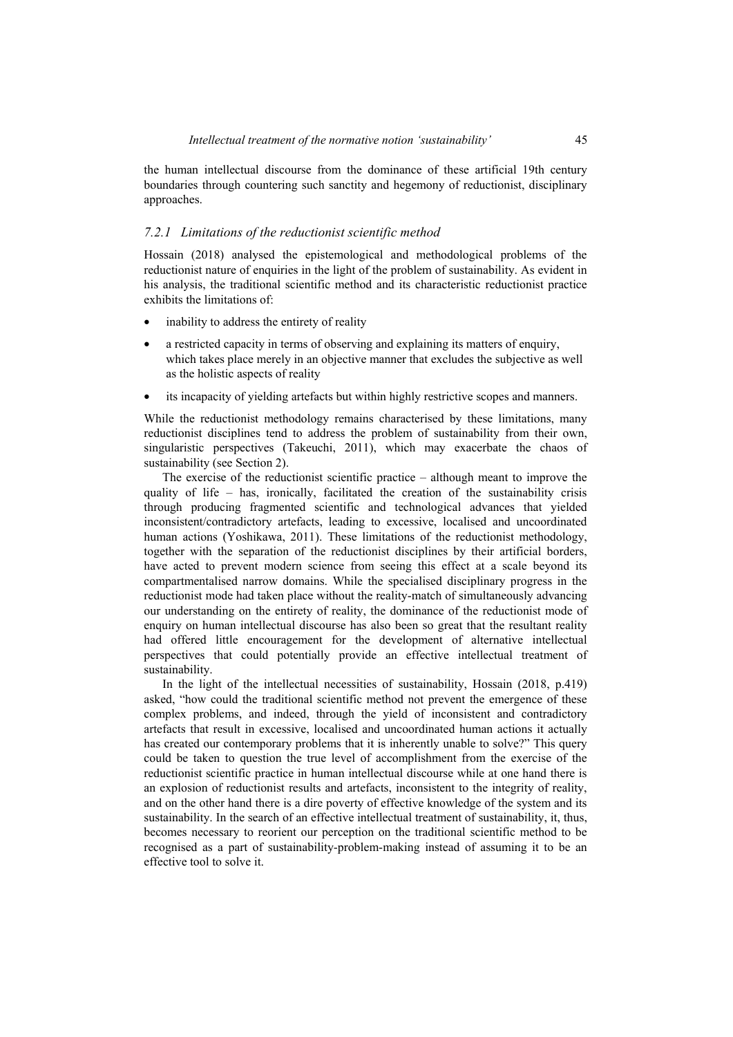the human intellectual discourse from the dominance of these artificial 19th century boundaries through countering such sanctity and hegemony of reductionist, disciplinary approaches.

## *7.2.1 Limitations of the reductionist scientific method*

Hossain (2018) analysed the epistemological and methodological problems of the reductionist nature of enquiries in the light of the problem of sustainability. As evident in his analysis, the traditional scientific method and its characteristic reductionist practice exhibits the limitations of:

- inability to address the entirety of reality
- a restricted capacity in terms of observing and explaining its matters of enquiry, which takes place merely in an objective manner that excludes the subjective as well as the holistic aspects of reality
- its incapacity of yielding artefacts but within highly restrictive scopes and manners.

While the reductionist methodology remains characterised by these limitations, many reductionist disciplines tend to address the problem of sustainability from their own, singularistic perspectives (Takeuchi, 2011), which may exacerbate the chaos of sustainability (see Section 2).

The exercise of the reductionist scientific practice – although meant to improve the quality of life – has, ironically, facilitated the creation of the sustainability crisis through producing fragmented scientific and technological advances that yielded inconsistent/contradictory artefacts, leading to excessive, localised and uncoordinated human actions (Yoshikawa, 2011). These limitations of the reductionist methodology, together with the separation of the reductionist disciplines by their artificial borders, have acted to prevent modern science from seeing this effect at a scale beyond its compartmentalised narrow domains. While the specialised disciplinary progress in the reductionist mode had taken place without the reality-match of simultaneously advancing our understanding on the entirety of reality, the dominance of the reductionist mode of enquiry on human intellectual discourse has also been so great that the resultant reality had offered little encouragement for the development of alternative intellectual perspectives that could potentially provide an effective intellectual treatment of sustainability.

In the light of the intellectual necessities of sustainability, Hossain (2018, p.419) asked, "how could the traditional scientific method not prevent the emergence of these complex problems, and indeed, through the yield of inconsistent and contradictory artefacts that result in excessive, localised and uncoordinated human actions it actually has created our contemporary problems that it is inherently unable to solve?" This query could be taken to question the true level of accomplishment from the exercise of the reductionist scientific practice in human intellectual discourse while at one hand there is an explosion of reductionist results and artefacts, inconsistent to the integrity of reality, and on the other hand there is a dire poverty of effective knowledge of the system and its sustainability. In the search of an effective intellectual treatment of sustainability, it, thus, becomes necessary to reorient our perception on the traditional scientific method to be recognised as a part of sustainability-problem-making instead of assuming it to be an effective tool to solve it.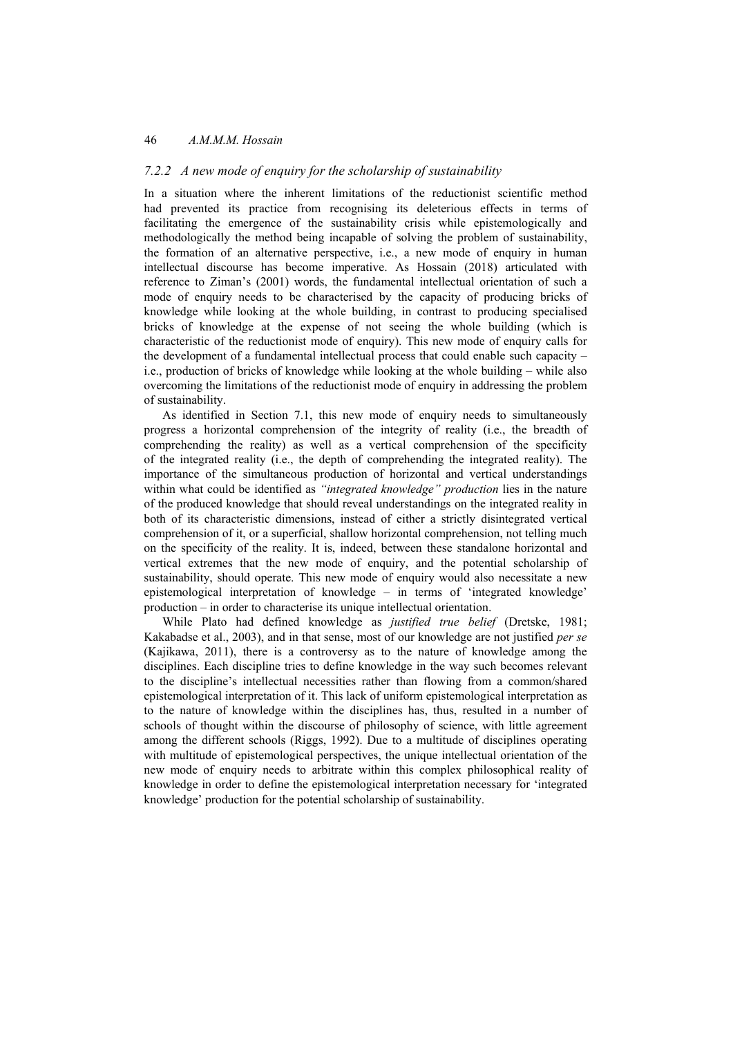## *7.2.2 A new mode of enquiry for the scholarship of sustainability*

In a situation where the inherent limitations of the reductionist scientific method had prevented its practice from recognising its deleterious effects in terms of facilitating the emergence of the sustainability crisis while epistemologically and methodologically the method being incapable of solving the problem of sustainability, the formation of an alternative perspective, i.e., a new mode of enquiry in human intellectual discourse has become imperative. As Hossain (2018) articulated with reference to Ziman's (2001) words, the fundamental intellectual orientation of such a mode of enquiry needs to be characterised by the capacity of producing bricks of knowledge while looking at the whole building, in contrast to producing specialised bricks of knowledge at the expense of not seeing the whole building (which is characteristic of the reductionist mode of enquiry). This new mode of enquiry calls for the development of a fundamental intellectual process that could enable such capacity – i.e., production of bricks of knowledge while looking at the whole building – while also overcoming the limitations of the reductionist mode of enquiry in addressing the problem of sustainability.

As identified in Section 7.1, this new mode of enquiry needs to simultaneously progress a horizontal comprehension of the integrity of reality (i.e., the breadth of comprehending the reality) as well as a vertical comprehension of the specificity of the integrated reality (i.e., the depth of comprehending the integrated reality). The importance of the simultaneous production of horizontal and vertical understandings within what could be identified as *"integrated knowledge" production* lies in the nature of the produced knowledge that should reveal understandings on the integrated reality in both of its characteristic dimensions, instead of either a strictly disintegrated vertical comprehension of it, or a superficial, shallow horizontal comprehension, not telling much on the specificity of the reality. It is, indeed, between these standalone horizontal and vertical extremes that the new mode of enquiry, and the potential scholarship of sustainability, should operate. This new mode of enquiry would also necessitate a new epistemological interpretation of knowledge – in terms of 'integrated knowledge' production – in order to characterise its unique intellectual orientation.

While Plato had defined knowledge as *justified true belief* (Dretske, 1981; Kakabadse et al., 2003), and in that sense, most of our knowledge are not justified *per se* (Kajikawa, 2011), there is a controversy as to the nature of knowledge among the disciplines. Each discipline tries to define knowledge in the way such becomes relevant to the discipline's intellectual necessities rather than flowing from a common/shared epistemological interpretation of it. This lack of uniform epistemological interpretation as to the nature of knowledge within the disciplines has, thus, resulted in a number of schools of thought within the discourse of philosophy of science, with little agreement among the different schools (Riggs, 1992). Due to a multitude of disciplines operating with multitude of epistemological perspectives, the unique intellectual orientation of the new mode of enquiry needs to arbitrate within this complex philosophical reality of knowledge in order to define the epistemological interpretation necessary for 'integrated knowledge' production for the potential scholarship of sustainability.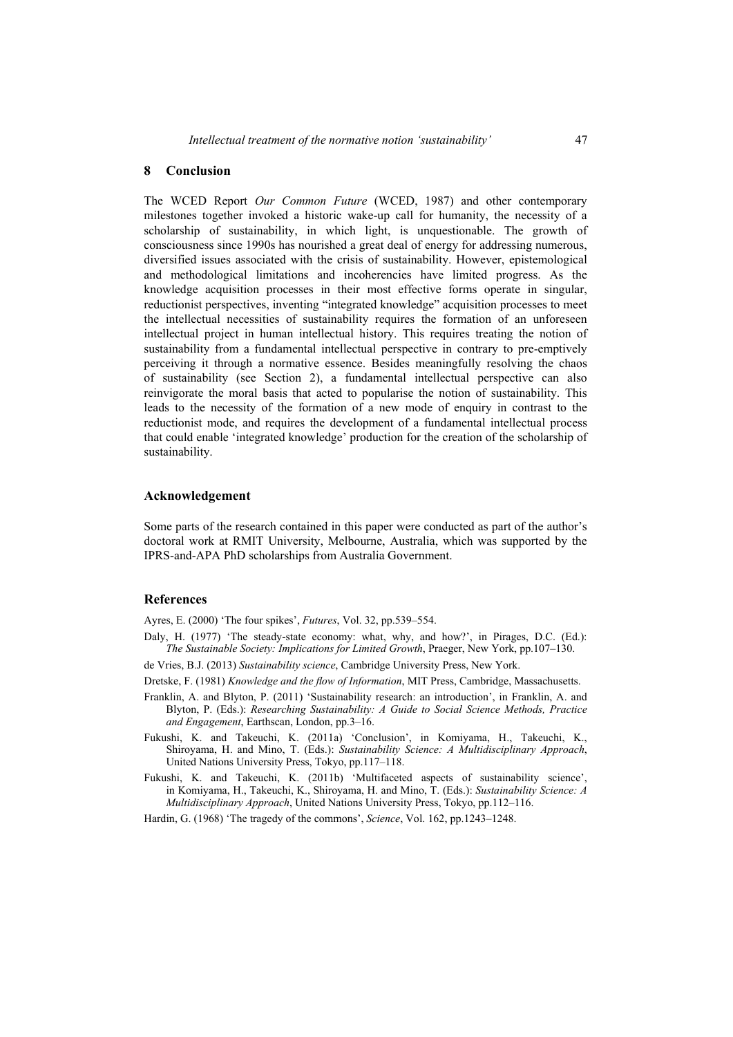## **8 Conclusion**

The WCED Report *Our Common Future* (WCED, 1987) and other contemporary milestones together invoked a historic wake-up call for humanity, the necessity of a scholarship of sustainability, in which light, is unquestionable. The growth of consciousness since 1990s has nourished a great deal of energy for addressing numerous, diversified issues associated with the crisis of sustainability. However, epistemological and methodological limitations and incoherencies have limited progress. As the knowledge acquisition processes in their most effective forms operate in singular, reductionist perspectives, inventing "integrated knowledge" acquisition processes to meet the intellectual necessities of sustainability requires the formation of an unforeseen intellectual project in human intellectual history. This requires treating the notion of sustainability from a fundamental intellectual perspective in contrary to pre-emptively perceiving it through a normative essence. Besides meaningfully resolving the chaos of sustainability (see Section 2), a fundamental intellectual perspective can also reinvigorate the moral basis that acted to popularise the notion of sustainability. This leads to the necessity of the formation of a new mode of enquiry in contrast to the reductionist mode, and requires the development of a fundamental intellectual process that could enable 'integrated knowledge' production for the creation of the scholarship of sustainability.

#### **Acknowledgement**

Some parts of the research contained in this paper were conducted as part of the author's doctoral work at RMIT University, Melbourne, Australia, which was supported by the IPRS-and-APA PhD scholarships from Australia Government.

## **References**

Ayres, E. (2000) 'The four spikes', *Futures*, Vol. 32, pp.539–554.

- Daly, H. (1977) 'The steady-state economy: what, why, and how?', in Pirages, D.C. (Ed.): *The Sustainable Society: Implications for Limited Growth*, Praeger, New York, pp.107–130.
- de Vries, B.J. (2013) *Sustainability science*, Cambridge University Press, New York.
- Dretske, F. (1981) *Knowledge and the flow of Information*, MIT Press, Cambridge, Massachusetts.
- Franklin, A. and Blyton, P. (2011) 'Sustainability research: an introduction', in Franklin, A. and Blyton, P. (Eds.): *Researching Sustainability: A Guide to Social Science Methods, Practice and Engagement*, Earthscan, London, pp.3–16.
- Fukushi, K. and Takeuchi, K. (2011a) 'Conclusion', in Komiyama, H., Takeuchi, K., Shiroyama, H. and Mino, T. (Eds.): *Sustainability Science: A Multidisciplinary Approach*, United Nations University Press, Tokyo, pp.117–118.
- Fukushi, K. and Takeuchi, K. (2011b) 'Multifaceted aspects of sustainability science', in Komiyama, H., Takeuchi, K., Shiroyama, H. and Mino, T. (Eds.): *Sustainability Science: A Multidisciplinary Approach*, United Nations University Press, Tokyo, pp.112–116.
- Hardin, G. (1968) 'The tragedy of the commons', *Science*, Vol. 162, pp.1243–1248.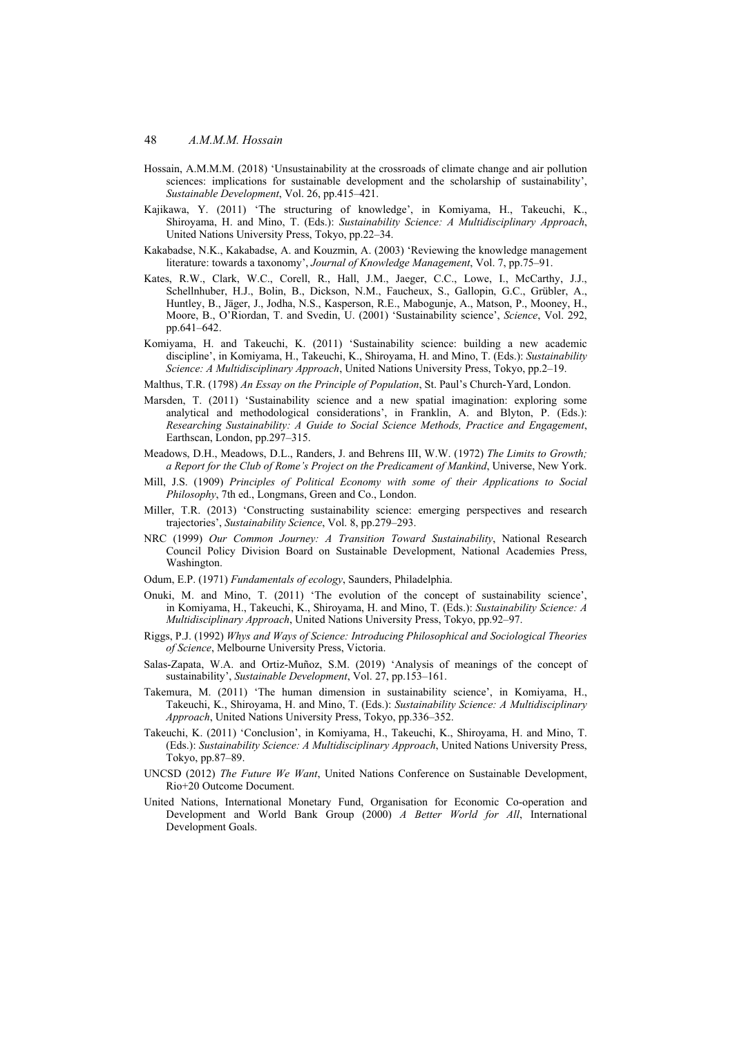- Hossain, A.M.M.M. (2018) 'Unsustainability at the crossroads of climate change and air pollution sciences: implications for sustainable development and the scholarship of sustainability', *Sustainable Development*, Vol. 26, pp.415–421.
- Kajikawa, Y. (2011) 'The structuring of knowledge', in Komiyama, H., Takeuchi, K., Shiroyama, H. and Mino, T. (Eds.): *Sustainability Science: A Multidisciplinary Approach*, United Nations University Press, Tokyo, pp.22–34.
- Kakabadse, N.K., Kakabadse, A. and Kouzmin, A. (2003) 'Reviewing the knowledge management literature: towards a taxonomy', *Journal of Knowledge Management*, Vol. 7, pp.75–91.
- Kates, R.W., Clark, W.C., Corell, R., Hall, J.M., Jaeger, C.C., Lowe, I., McCarthy, J.J., Schellnhuber, H.J., Bolin, B., Dickson, N.M., Faucheux, S., Gallopin, G.C., Grübler, A., Huntley, B., Jäger, J., Jodha, N.S., Kasperson, R.E., Mabogunje, A., Matson, P., Mooney, H., Moore, B., O'Riordan, T. and Svedin, U. (2001) 'Sustainability science', *Science*, Vol. 292, pp.641–642.
- Komiyama, H. and Takeuchi, K. (2011) 'Sustainability science: building a new academic discipline', in Komiyama, H., Takeuchi, K., Shiroyama, H. and Mino, T. (Eds.): *Sustainability Science: A Multidisciplinary Approach*, United Nations University Press, Tokyo, pp.2–19.
- Malthus, T.R. (1798) *An Essay on the Principle of Population*, St. Paul's Church-Yard, London.
- Marsden, T. (2011) 'Sustainability science and a new spatial imagination: exploring some analytical and methodological considerations', in Franklin, A. and Blyton, P. (Eds.): *Researching Sustainability: A Guide to Social Science Methods, Practice and Engagement*, Earthscan, London, pp.297–315.
- Meadows, D.H., Meadows, D.L., Randers, J. and Behrens III, W.W. (1972) *The Limits to Growth; a Report for the Club of Rome's Project on the Predicament of Mankind*, Universe, New York.
- Mill, J.S. (1909) *Principles of Political Economy with some of their Applications to Social Philosophy*, 7th ed., Longmans, Green and Co., London.
- Miller, T.R. (2013) 'Constructing sustainability science: emerging perspectives and research trajectories', *Sustainability Science*, Vol. 8, pp.279–293.
- NRC (1999) *Our Common Journey: A Transition Toward Sustainability*, National Research Council Policy Division Board on Sustainable Development, National Academies Press, Washington.
- Odum, E.P. (1971) *Fundamentals of ecology*, Saunders, Philadelphia.
- Onuki, M. and Mino, T. (2011) 'The evolution of the concept of sustainability science', in Komiyama, H., Takeuchi, K., Shiroyama, H. and Mino, T. (Eds.): *Sustainability Science: A Multidisciplinary Approach*, United Nations University Press, Tokyo, pp.92–97.
- Riggs, P.J. (1992) *Whys and Ways of Science: Introducing Philosophical and Sociological Theories of Science*, Melbourne University Press, Victoria.
- Salas-Zapata, W.A. and Ortiz-Muñoz, S.M. (2019) 'Analysis of meanings of the concept of sustainability', *Sustainable Development*, Vol. 27, pp.153–161.
- Takemura, M. (2011) 'The human dimension in sustainability science', in Komiyama, H., Takeuchi, K., Shiroyama, H. and Mino, T. (Eds.): *Sustainability Science: A Multidisciplinary Approach*, United Nations University Press, Tokyo, pp.336–352.
- Takeuchi, K. (2011) 'Conclusion', in Komiyama, H., Takeuchi, K., Shiroyama, H. and Mino, T. (Eds.): *Sustainability Science: A Multidisciplinary Approach*, United Nations University Press, Tokyo, pp.87–89.
- UNCSD (2012) *The Future We Want*, United Nations Conference on Sustainable Development, Rio+20 Outcome Document.
- United Nations, International Monetary Fund, Organisation for Economic Co-operation and Development and World Bank Group (2000) *A Better World for All*, International Development Goals.